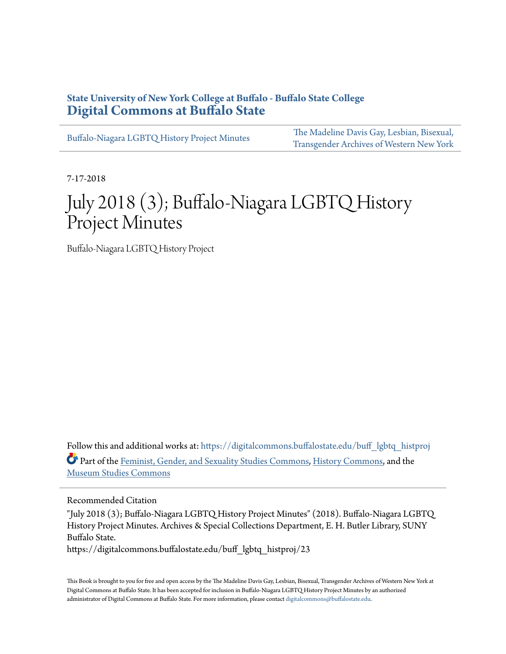# **State University of New York College at Buffalo - Buffalo State College [Digital Commons at Buffalo State](https://digitalcommons.buffalostate.edu?utm_source=digitalcommons.buffalostate.edu%2Fbuff_lgbtq_histproj%2F23&utm_medium=PDF&utm_campaign=PDFCoverPages)**

[Buffalo-Niagara LGBTQ History Project Minutes](https://digitalcommons.buffalostate.edu/buff_lgbtq_histproj?utm_source=digitalcommons.buffalostate.edu%2Fbuff_lgbtq_histproj%2F23&utm_medium=PDF&utm_campaign=PDFCoverPages)

[The Madeline Davis Gay, Lesbian, Bisexual,](https://digitalcommons.buffalostate.edu/mdaviscollection?utm_source=digitalcommons.buffalostate.edu%2Fbuff_lgbtq_histproj%2F23&utm_medium=PDF&utm_campaign=PDFCoverPages) [Transgender Archives of Western New York](https://digitalcommons.buffalostate.edu/mdaviscollection?utm_source=digitalcommons.buffalostate.edu%2Fbuff_lgbtq_histproj%2F23&utm_medium=PDF&utm_campaign=PDFCoverPages)

7-17-2018

# July 2018 (3); Buffalo-Niagara LGBTQ History Project Minutes

Buffalo-Niagara LGBTQ History Project

Follow this and additional works at: [https://digitalcommons.buffalostate.edu/buff\\_lgbtq\\_histproj](https://digitalcommons.buffalostate.edu/buff_lgbtq_histproj?utm_source=digitalcommons.buffalostate.edu%2Fbuff_lgbtq_histproj%2F23&utm_medium=PDF&utm_campaign=PDFCoverPages) Part of the [Feminist, Gender, and Sexuality Studies Commons,](http://network.bepress.com/hgg/discipline/559?utm_source=digitalcommons.buffalostate.edu%2Fbuff_lgbtq_histproj%2F23&utm_medium=PDF&utm_campaign=PDFCoverPages) [History Commons](http://network.bepress.com/hgg/discipline/489?utm_source=digitalcommons.buffalostate.edu%2Fbuff_lgbtq_histproj%2F23&utm_medium=PDF&utm_campaign=PDFCoverPages), and the [Museum Studies Commons](http://network.bepress.com/hgg/discipline/1366?utm_source=digitalcommons.buffalostate.edu%2Fbuff_lgbtq_histproj%2F23&utm_medium=PDF&utm_campaign=PDFCoverPages)

Recommended Citation

"July 2018 (3); Buffalo-Niagara LGBTQ History Project Minutes" (2018). Buffalo-Niagara LGBTQ History Project Minutes. Archives & Special Collections Department, E. H. Butler Library, SUNY Buffalo State.

https://digitalcommons.buffalostate.edu/buff\_lgbtq\_histproj/23

This Book is brought to you for free and open access by the The Madeline Davis Gay, Lesbian, Bisexual, Transgender Archives of Western New York at Digital Commons at Buffalo State. It has been accepted for inclusion in Buffalo-Niagara LGBTQ History Project Minutes by an authorized administrator of Digital Commons at Buffalo State. For more information, please contact [digitalcommons@buffalostate.edu.](mailto:digitalcommons@buffalostate.edu)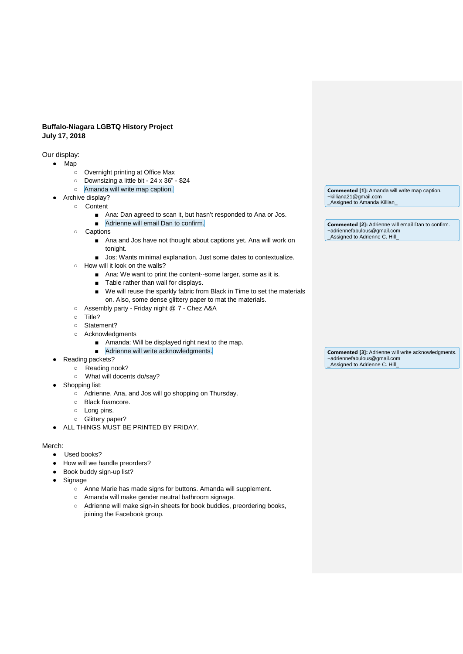## **Buffalo-Niagara LGBTQ History Project July 17, 2018**

Our display:

- Map
	- Overnight printing at Office Max
	- Downsizing a little bit 24 x 36" \$24
	- Amanda will write map caption.
- Archive display?
	- Content
		- Ana: Dan agreed to scan it, but hasn't responded to Ana or Jos.
		- Adrienne will email Dan to confirm.
		- Captions
			- Ana and Jos have not thought about captions yet. Ana will work on tonight.
			- Jos: Wants minimal explanation. Just some dates to contextualize.
		- How will it look on the walls?
			- Ana: We want to print the content--some larger, some as it is.
			- Table rather than wall for displays.
			- We will reuse the sparkly fabric from Black in Time to set the materials on. Also, some dense glittery paper to mat the materials.
		- Assembly party Friday night @ 7 Chez A&A
		- Title?
		- Statement?
		- Acknowledgments
			- Amanda: Will be displayed right next to the map.
			- Adrienne will write acknowledgments.
- Reading packets?
	- Reading nook?
	- What will docents do/say?
- Shopping list:
	- Adrienne, Ana, and Jos will go shopping on Thursday.
	- Black foamcore.
	- Long pins.
	- Glittery paper?
- ALL THINGS MUST BE PRINTED BY FRIDAY.

#### Merch:

- Used books?
- How will we handle preorders?
- Book buddy sign-up list?
- Signage
	- Anne Marie has made signs for buttons. Amanda will supplement.
	- Amanda will make gender neutral bathroom signage.
	- Adrienne will make sign-in sheets for book buddies, preordering books, joining the Facebook group.

**Commented [1]:** Amanda will write map caption. +killiana21@gmail.com \_Assigned to Amanda Killian\_

**Commented [2]:** Adrienne will email Dan to confirm. +adriennefabulous@gmail.com \_Assigned to Adrienne C. Hill\_

**Commented [3]:** Adrienne will write acknowledgments. +adriennefabulous@gmail.com \_Assigned to Adrienne C. Hill\_